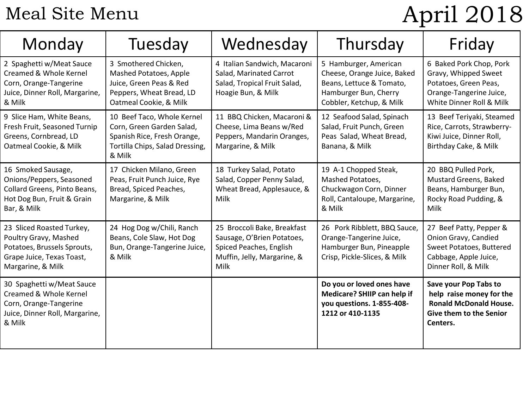## Meal Site Menu

# April 2018

| Monday                                                                                                                              | Tuesday                                                                                                                             | Wednesday                                                                                                                   | Thursday                                                                                                                              | Friday                                                                                                                           |
|-------------------------------------------------------------------------------------------------------------------------------------|-------------------------------------------------------------------------------------------------------------------------------------|-----------------------------------------------------------------------------------------------------------------------------|---------------------------------------------------------------------------------------------------------------------------------------|----------------------------------------------------------------------------------------------------------------------------------|
| 2 Spaghetti w/Meat Sauce<br>Creamed & Whole Kernel<br>Corn, Orange-Tangerine<br>Juice, Dinner Roll, Margarine,<br>& Milk            | 3 Smothered Chicken,<br>Mashed Potatoes, Apple<br>Juice, Green Peas & Red<br>Peppers, Wheat Bread, LD<br>Oatmeal Cookie, & Milk     | 4 Italian Sandwich, Macaroni<br>Salad, Marinated Carrot<br>Salad, Tropical Fruit Salad,<br>Hoagie Bun, & Milk               | 5 Hamburger, American<br>Cheese, Orange Juice, Baked<br>Beans, Lettuce & Tomato,<br>Hamburger Bun, Cherry<br>Cobbler, Ketchup, & Milk | 6 Baked Pork Chop, Pork<br>Gravy, Whipped Sweet<br>Potatoes, Green Peas,<br>Orange-Tangerine Juice,<br>White Dinner Roll & Milk  |
| 9 Slice Ham, White Beans,<br>Fresh Fruit, Seasoned Turnip<br>Greens, Cornbread, LD<br>Oatmeal Cookie, & Milk                        | 10 Beef Taco, Whole Kernel<br>Corn, Green Garden Salad,<br>Spanish Rice, Fresh Orange,<br>Tortilla Chips, Salad Dressing,<br>& Milk | 11 BBQ Chicken, Macaroni &<br>Cheese, Lima Beans w/Red<br>Peppers, Mandarin Oranges,<br>Margarine, & Milk                   | 12 Seafood Salad, Spinach<br>Salad, Fruit Punch, Green<br>Peas Salad, Wheat Bread,<br>Banana, & Milk                                  | 13 Beef Teriyaki, Steamed<br>Rice, Carrots, Strawberry-<br>Kiwi Juice, Dinner Roll,<br>Birthday Cake, & Milk                     |
| 16 Smoked Sausage,<br>Onions/Peppers, Seasoned<br>Collard Greens, Pinto Beans,<br>Hot Dog Bun, Fruit & Grain<br>Bar, & Milk         | 17 Chicken Milano, Green<br>Peas, Fruit Punch Juice, Rye<br>Bread, Spiced Peaches,<br>Margarine, & Milk                             | 18 Turkey Salad, Potato<br>Salad, Copper Penny Salad,<br>Wheat Bread, Applesauce, &<br>Milk                                 | 19 A-1 Chopped Steak,<br>Mashed Potatoes,<br>Chuckwagon Corn, Dinner<br>Roll, Cantaloupe, Margarine,<br>& Milk                        | 20 BBQ Pulled Pork,<br>Mustard Greens, Baked<br>Beans, Hamburger Bun,<br>Rocky Road Pudding, &<br><b>Milk</b>                    |
| 23 Sliced Roasted Turkey,<br>Poultry Gravy, Mashed<br>Potatoes, Brussels Sprouts,<br>Grape Juice, Texas Toast,<br>Margarine, & Milk | 24 Hog Dog w/Chili, Ranch<br>Beans, Cole Slaw, Hot Dog<br>Bun, Orange-Tangerine Juice,<br>& Milk                                    | 25 Broccoli Bake, Breakfast<br>Sausage, O'Brien Potatoes,<br>Spiced Peaches, English<br>Muffin, Jelly, Margarine, &<br>Milk | 26 Pork Ribblett, BBQ Sauce,<br>Orange-Tangerine Juice,<br>Hamburger Bun, Pineapple<br>Crisp, Pickle-Slices, & Milk                   | 27 Beef Patty, Pepper &<br>Onion Gravy, Candied<br>Sweet Potatoes, Buttered<br>Cabbage, Apple Juice,<br>Dinner Roll, & Milk      |
| 30 Spaghetti w/Meat Sauce<br>Creamed & Whole Kernel<br>Corn, Orange-Tangerine<br>Juice, Dinner Roll, Margarine,<br>& Milk           |                                                                                                                                     |                                                                                                                             | Do you or loved ones have<br>Medicare? SHIIP can help if<br>you questions. 1-855-408-<br>1212 or 410-1135                             | Save your Pop Tabs to<br>help raise money for the<br><b>Ronald McDonald House.</b><br><b>Give them to the Senior</b><br>Centers. |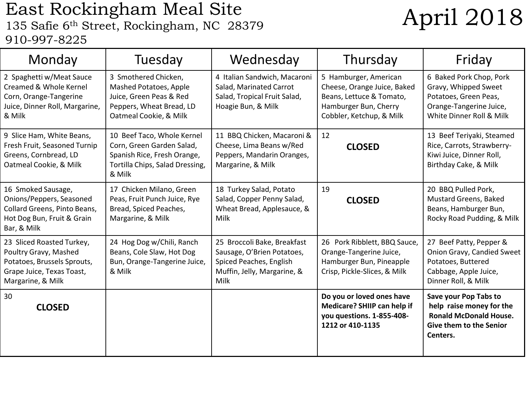### East Rockingham Meal Site East Rockingham Meal Site<br>135 Safie 6<sup>th</sup> Street, Rockingham, NC 28379 **April 2018** 910-997-8225

| Monday                                                                                                                              | Tuesday                                                                                                                             | Wednesday                                                                                                                   | Thursday                                                                                                                              | Friday                                                                                                                           |
|-------------------------------------------------------------------------------------------------------------------------------------|-------------------------------------------------------------------------------------------------------------------------------------|-----------------------------------------------------------------------------------------------------------------------------|---------------------------------------------------------------------------------------------------------------------------------------|----------------------------------------------------------------------------------------------------------------------------------|
| 2 Spaghetti w/Meat Sauce<br>Creamed & Whole Kernel<br>Corn, Orange-Tangerine<br>Juice, Dinner Roll, Margarine,<br>& Milk            | 3 Smothered Chicken,<br>Mashed Potatoes, Apple<br>Juice, Green Peas & Red<br>Peppers, Wheat Bread, LD<br>Oatmeal Cookie, & Milk     | 4 Italian Sandwich, Macaroni<br>Salad, Marinated Carrot<br>Salad, Tropical Fruit Salad,<br>Hoagie Bun, & Milk               | 5 Hamburger, American<br>Cheese, Orange Juice, Baked<br>Beans, Lettuce & Tomato,<br>Hamburger Bun, Cherry<br>Cobbler, Ketchup, & Milk | 6 Baked Pork Chop, Pork<br>Gravy, Whipped Sweet<br>Potatoes, Green Peas,<br>Orange-Tangerine Juice,<br>White Dinner Roll & Milk  |
| 9 Slice Ham, White Beans,<br>Fresh Fruit, Seasoned Turnip<br>Greens, Cornbread, LD<br>Oatmeal Cookie, & Milk                        | 10 Beef Taco, Whole Kernel<br>Corn, Green Garden Salad,<br>Spanish Rice, Fresh Orange,<br>Tortilla Chips, Salad Dressing,<br>& Milk | 11 BBQ Chicken, Macaroni &<br>Cheese, Lima Beans w/Red<br>Peppers, Mandarin Oranges,<br>Margarine, & Milk                   | 12<br><b>CLOSED</b>                                                                                                                   | 13 Beef Teriyaki, Steamed<br>Rice, Carrots, Strawberry-<br>Kiwi Juice, Dinner Roll,<br>Birthday Cake, & Milk                     |
| 16 Smoked Sausage,<br>Onions/Peppers, Seasoned<br>Collard Greens, Pinto Beans,<br>Hot Dog Bun, Fruit & Grain<br>Bar, & Milk         | 17 Chicken Milano, Green<br>Peas, Fruit Punch Juice, Rye<br>Bread, Spiced Peaches,<br>Margarine, & Milk                             | 18 Turkey Salad, Potato<br>Salad, Copper Penny Salad,<br>Wheat Bread, Applesauce, &<br>Milk                                 | 19<br><b>CLOSED</b>                                                                                                                   | 20 BBQ Pulled Pork,<br>Mustard Greens, Baked<br>Beans, Hamburger Bun,<br>Rocky Road Pudding, & Milk                              |
| 23 Sliced Roasted Turkey,<br>Poultry Gravy, Mashed<br>Potatoes, Brussels Sprouts,<br>Grape Juice, Texas Toast,<br>Margarine, & Milk | 24 Hog Dog w/Chili, Ranch<br>Beans, Cole Slaw, Hot Dog<br>Bun, Orange-Tangerine Juice,<br>& Milk                                    | 25 Broccoli Bake, Breakfast<br>Sausage, O'Brien Potatoes,<br>Spiced Peaches, English<br>Muffin, Jelly, Margarine, &<br>Milk | 26 Pork Ribblett, BBQ Sauce,<br>Orange-Tangerine Juice,<br>Hamburger Bun, Pineapple<br>Crisp, Pickle-Slices, & Milk                   | 27 Beef Patty, Pepper &<br>Onion Gravy, Candied Sweet<br>Potatoes, Buttered<br>Cabbage, Apple Juice,<br>Dinner Roll, & Milk      |
| 30<br><b>CLOSED</b>                                                                                                                 |                                                                                                                                     |                                                                                                                             | Do you or loved ones have<br>Medicare? SHIIP can help if<br>you questions. 1-855-408-<br>1212 or 410-1135                             | Save your Pop Tabs to<br>help raise money for the<br><b>Ronald McDonald House.</b><br><b>Give them to the Senior</b><br>Centers. |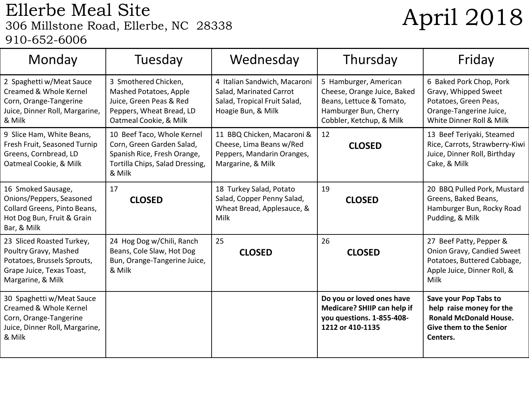### Ellerbe Meal Site Ellerbe Meal Site<br>306 Millstone Road, Ellerbe, NC 28338<br>April 2018 910-652-6006

| Monday                                                                                                                              | Tuesday                                                                                                                             | Wednesday                                                                                                     | Thursday                                                                                                                              | Friday                                                                                                                          |
|-------------------------------------------------------------------------------------------------------------------------------------|-------------------------------------------------------------------------------------------------------------------------------------|---------------------------------------------------------------------------------------------------------------|---------------------------------------------------------------------------------------------------------------------------------------|---------------------------------------------------------------------------------------------------------------------------------|
| 2 Spaghetti w/Meat Sauce<br>Creamed & Whole Kernel<br>Corn, Orange-Tangerine<br>Juice, Dinner Roll, Margarine,<br>& Milk            | 3 Smothered Chicken,<br>Mashed Potatoes, Apple<br>Juice, Green Peas & Red<br>Peppers, Wheat Bread, LD<br>Oatmeal Cookie, & Milk     | 4 Italian Sandwich, Macaroni<br>Salad, Marinated Carrot<br>Salad, Tropical Fruit Salad,<br>Hoagie Bun, & Milk | 5 Hamburger, American<br>Cheese, Orange Juice, Baked<br>Beans, Lettuce & Tomato,<br>Hamburger Bun, Cherry<br>Cobbler, Ketchup, & Milk | 6 Baked Pork Chop, Pork<br>Gravy, Whipped Sweet<br>Potatoes, Green Peas,<br>Orange-Tangerine Juice,<br>White Dinner Roll & Milk |
| 9 Slice Ham, White Beans,<br>Fresh Fruit, Seasoned Turnip<br>Greens, Cornbread, LD<br>Oatmeal Cookie, & Milk                        | 10 Beef Taco, Whole Kernel<br>Corn, Green Garden Salad,<br>Spanish Rice, Fresh Orange,<br>Tortilla Chips, Salad Dressing,<br>& Milk | 11 BBQ Chicken, Macaroni &<br>Cheese, Lima Beans w/Red<br>Peppers, Mandarin Oranges,<br>Margarine, & Milk     | 12<br><b>CLOSED</b>                                                                                                                   | 13 Beef Teriyaki, Steamed<br>Rice, Carrots, Strawberry-Kiwi<br>Juice, Dinner Roll, Birthday<br>Cake, & Milk                     |
| 16 Smoked Sausage,<br>Onions/Peppers, Seasoned<br>Collard Greens, Pinto Beans,<br>Hot Dog Bun, Fruit & Grain<br>Bar, & Milk         | 17<br><b>CLOSED</b>                                                                                                                 | 18 Turkey Salad, Potato<br>Salad, Copper Penny Salad,<br>Wheat Bread, Applesauce, &<br>Milk                   | 19<br><b>CLOSED</b>                                                                                                                   | 20 BBQ Pulled Pork, Mustard<br>Greens, Baked Beans,<br>Hamburger Bun, Rocky Road<br>Pudding, & Milk                             |
| 23 Sliced Roasted Turkey,<br>Poultry Gravy, Mashed<br>Potatoes, Brussels Sprouts,<br>Grape Juice, Texas Toast,<br>Margarine, & Milk | 24 Hog Dog w/Chili, Ranch<br>Beans, Cole Slaw, Hot Dog<br>Bun, Orange-Tangerine Juice,<br>& Milk                                    | 25<br><b>CLOSED</b>                                                                                           | 26<br><b>CLOSED</b>                                                                                                                   | 27 Beef Patty, Pepper &<br>Onion Gravy, Candied Sweet<br>Potatoes, Buttered Cabbage,<br>Apple Juice, Dinner Roll, &<br>Milk     |
| 30 Spaghetti w/Meat Sauce<br>Creamed & Whole Kernel<br>Corn, Orange-Tangerine<br>Juice, Dinner Roll, Margarine,<br>& Milk           |                                                                                                                                     |                                                                                                               | Do you or loved ones have<br>Medicare? SHIIP can help if<br>you questions. 1-855-408-<br>1212 or 410-1135                             | Save your Pop Tabs to<br>help raise money for the<br><b>Ronald McDonald House.</b><br>Give them to the Senior<br>Centers.       |